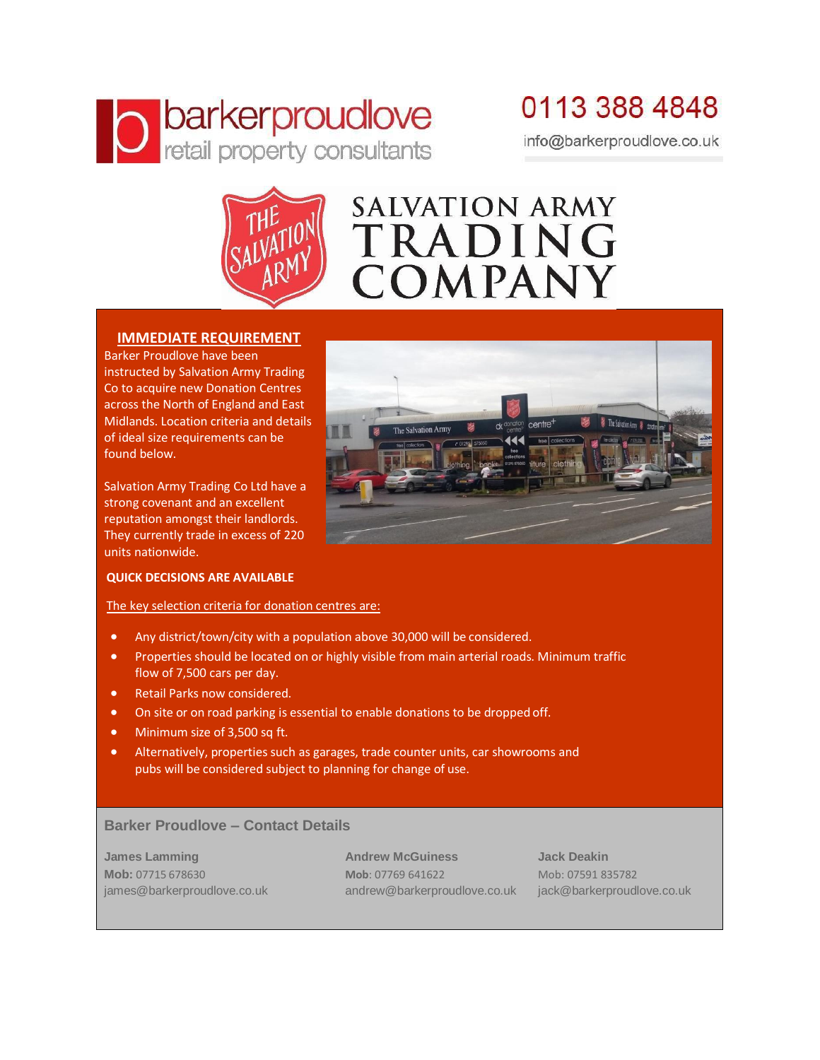# **O** barkerproudlove

### 0113 388 4848 info@barkerproudlove.co.uk



## **SALVATION ARMY** TRADING COMPANY

#### **IMMEDIATE REQUIREMENT**

Barker Proudlove have been instructed by Salvation Army Trading Co to acquire new Donation Centres across the North of England and East Midlands. Location criteria and details of ideal size requirements can be found below.

Salvation Army Trading Co Ltd have a strong covenant and an excellent reputation amongst their landlords. They currently trade in excess of 220 units nationwide.

#### **QUICK DECISIONS ARE AVAILABLE**

The key selection criteria for donation centres are:

- Any district/town/city with a population above 30,000 will be considered.
- Properties should be located on or highly visible from main arterial roads. Minimum traffic flow of 7,500 cars per day.
- Retail Parks now considered.
- On site or on road parking is essential to enable donations to be dropped off.
- Minimum size of 3,500 sq ft.
- Alternatively, properties such as garages, trade counter units, car showrooms and pubs will be considered subject to planning for change of use.

#### **Barker Proudlove – Contact Details**

**James Lamming Andrew McGuiness Jack Deakin Mob:** 07715 678630 **Mob**: 07769 641622 Mob: 07591 835782 [james@barkerproudlove.co.uk](mailto:james@barkerproudlove.co.uk) andrew@barkerproudlove.co.uk jack@barkerproudlove.co.uk